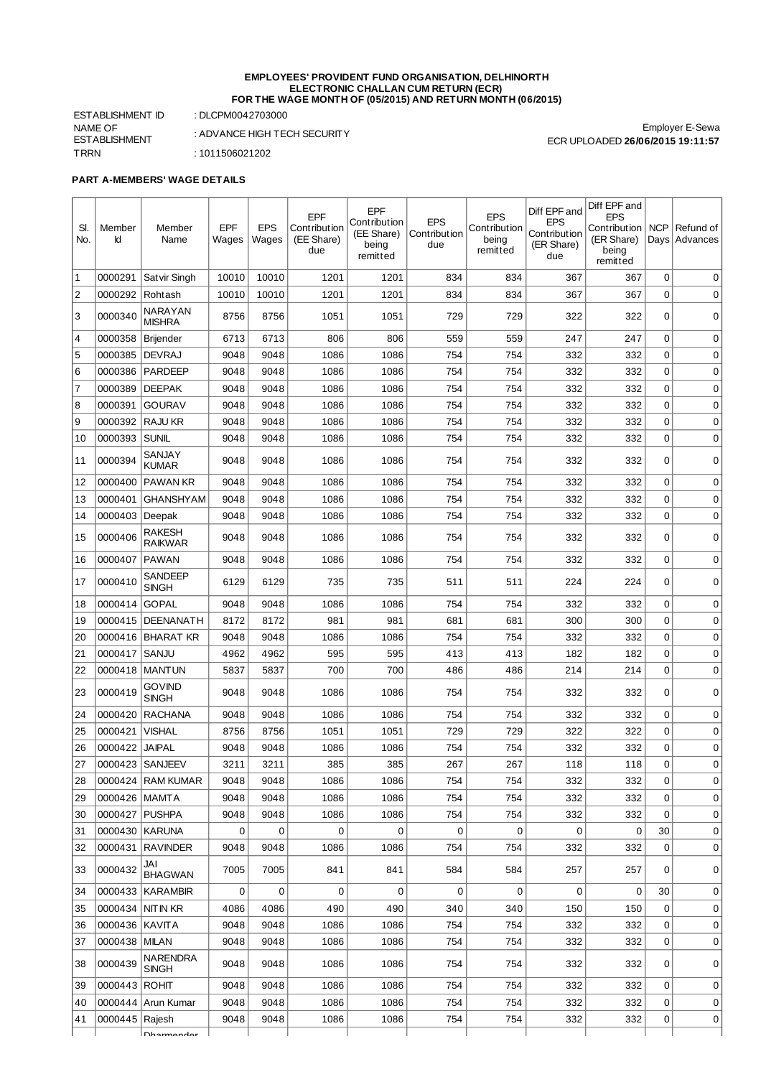#### **EMPLOYEES' PROVIDENT FUND ORGANISATION, DELHINORTH ELECTRONIC CHALLAN CUM RETURN (ECR) FOR THE WAGE MONTH OF (05/2015) AND RETURN MONTH (06/2015)**

ESTABLISHMENT ID : DLCPM0042703000 NAME OF ESTABLISHMENT TRRN : 1011506021202

: ADVANCE HIGH TECH SECURITY

## **PART A-MEMBERS' WAGE DETAILS**

| SI.<br>No. | Member<br>Id    | Member<br>Name                  | <b>EPF</b><br>Wages | <b>EPS</b><br>Wages | EPF<br>Contribution<br>(EE Share)<br>due | EPF<br>Contribution<br>(EE Share)<br>being<br>remitted | <b>EPS</b><br>Contribution<br>due | <b>EPS</b><br>Contribution<br>being<br>remitted | Diff EPF and<br><b>EPS</b><br>Contribution<br>(ER Share)<br>due | Diff EPF and<br><b>EPS</b><br>Contribution   NCP<br>(ER Share)<br>being<br>remitted |          | Refund of<br>Days Advances |
|------------|-----------------|---------------------------------|---------------------|---------------------|------------------------------------------|--------------------------------------------------------|-----------------------------------|-------------------------------------------------|-----------------------------------------------------------------|-------------------------------------------------------------------------------------|----------|----------------------------|
| $\vert$ 1  | 0000291         | Satvir Singh                    | 10010               | 10010               | 1201                                     | 1201                                                   | 834                               | 834                                             | 367                                                             | 367                                                                                 | 0        | 0                          |
| 2          | 0000292         | Rohtash                         | 10010               | 10010               | 1201                                     | 1201                                                   | 834                               | 834                                             | 367                                                             | 367                                                                                 | 0        | 0                          |
| 1З         | 0000340         | NARAYAN<br><b>MISHRA</b>        | 8756                | 8756                | 1051                                     | 1051                                                   | 729                               | 729                                             | 322                                                             | 322                                                                                 | 0        | $\mathbf 0$                |
| 14         | 0000358         | Brijender                       | 6713                | 6713                | 806                                      | 806                                                    | 559                               | 559                                             | 247                                                             | 247                                                                                 | 0        | 0                          |
| 5          | 0000385         | <b>DEVRAJ</b>                   | 9048                | 9048                | 1086                                     | 1086                                                   | 754                               | 754                                             | 332                                                             | 332                                                                                 | 0        | $\mathbf 0$                |
| 6          | 0000386         | <b>PARDEEP</b>                  | 9048                | 9048                | 1086                                     | 1086                                                   | 754                               | 754                                             | 332                                                             | 332                                                                                 | 0        | 0                          |
| 17         | 0000389         | <b>DEEPAK</b>                   | 9048                | 9048                | 1086                                     | 1086                                                   | 754                               | 754                                             | 332                                                             | 332                                                                                 | 0        | 0                          |
| 8          | 0000391         | <b>GOURAV</b>                   | 9048                | 9048                | 1086                                     | 1086                                                   | 754                               | 754                                             | 332                                                             | 332                                                                                 | 0        | $\mathbf 0$                |
| 9 ا        | 0000392         | RAJU KR                         | 9048                | 9048                | 1086                                     | 1086                                                   | 754                               | 754                                             | 332                                                             | 332                                                                                 | 0        | 0                          |
| 10         | 0000393         | <b>SUNIL</b>                    | 9048                | 9048                | 1086                                     | 1086                                                   | 754                               | 754                                             | 332                                                             | 332                                                                                 | 0        | $\mathbf 0$                |
| 11         | 0000394         | SANJAY<br><b>KUMAR</b>          | 9048                | 9048                | 1086                                     | 1086                                                   | 754                               | 754                                             | 332                                                             | 332                                                                                 | 0        | 0                          |
| 12         | 0000400         | <b>PAWAN KR</b>                 | 9048                | 9048                | 1086                                     | 1086                                                   | 754                               | 754                                             | 332                                                             | 332                                                                                 | 0        | 0                          |
| 13         | 0000401         | <b>GHANSHYAM</b>                | 9048                | 9048                | 1086                                     | 1086                                                   | 754                               | 754                                             | 332                                                             | 332                                                                                 | 0        | 0                          |
| 14         | 0000403         | Deepak                          | 9048                | 9048                | 1086                                     | 1086                                                   | 754                               | 754                                             | 332                                                             | 332                                                                                 | 0        | 0                          |
| 15         | 0000406         | RAKESH<br><b>RAIKWAR</b>        | 9048                | 9048                | 1086                                     | 1086                                                   | 754                               | 754                                             | 332                                                             | 332                                                                                 | 0        | $\mathbf 0$                |
| 16         | 0000407         | <b>PAWAN</b>                    | 9048                | 9048                | 1086                                     | 1086                                                   | 754                               | 754                                             | 332                                                             | 332                                                                                 | 0        | 0                          |
| 17         | 0000410         | SANDEEP<br><b>SINGH</b>         | 6129                | 6129                | 735                                      | 735                                                    | 511                               | 511                                             | 224                                                             | 224                                                                                 | 0        | $\mathbf 0$                |
| 18         | 0000414         | <b>GOPAL</b>                    | 9048                | 9048                | 1086                                     | 1086                                                   | 754                               | 754                                             | 332                                                             | 332                                                                                 | 0        | $\mathbf 0$                |
| 19         | 0000415         | <b>DEENANATH</b>                | 8172                | 8172                | 981                                      | 981                                                    | 681                               | 681                                             | 300                                                             | 300                                                                                 | 0        | 0                          |
| 20         | 0000416         | <b>BHARAT KR</b>                | 9048                | 9048                | 1086                                     | 1086                                                   | 754                               | 754                                             | 332                                                             | 332                                                                                 | 0        | $\mathbf 0$                |
| 21         | 0000417         | SANJU                           | 4962                | 4962                | 595                                      | 595                                                    | 413                               | 413                                             | 182                                                             | 182                                                                                 | 0        | $\mathbf 0$                |
| 22         | 0000418         | <b>MANTUN</b>                   | 5837                | 5837                | 700                                      | 700                                                    | 486                               | 486                                             | 214                                                             | 214                                                                                 | 0        | 0                          |
| 23         | 0000419         | govind<br><b>SINGH</b>          | 9048                | 9048                | 1086                                     | 1086                                                   | 754                               | 754                                             | 332                                                             | 332                                                                                 | $\Omega$ | $\mathbf 0$                |
| 24         | 0000420         | <b>RACHANA</b>                  | 9048                | 9048                | 1086                                     | 1086                                                   | 754                               | 754                                             | 332                                                             | 332                                                                                 | 0        | 0                          |
| 25         | 0000421         | VISHAL                          | 8756                | 8756                | 1051                                     | 1051                                                   | 729                               | 729                                             | 322                                                             | 322                                                                                 | 0        | 0                          |
| 26         | 0000422         | <b>JAIPAL</b>                   | 9048                | 9048                | 1086                                     | 1086                                                   | 754                               | 754                                             | 332                                                             | 332                                                                                 | 0        | 0                          |
| 27         | 0000423         | SANJEEV                         | 3211                | 3211                | 385                                      | 385                                                    | 267                               | 267                                             | 118                                                             | 118                                                                                 | 0        | $\pmb{0}$                  |
| 28         |                 | 0000424   RAM KUMAR             | 9048                | 9048                | 1086                                     | 1086                                                   | 754                               | 754                                             | 332                                                             | 332                                                                                 | 0        | 0                          |
| 29         | 0000426         | MAMTA                           | 9048                | 9048                | 1086                                     | 1086                                                   | 754                               | 754                                             | 332                                                             | 332                                                                                 | $\Omega$ | 0                          |
| 30         | 0000427         | <b>PUSHPA</b>                   | 9048                | 9048                | 1086                                     | 1086                                                   | 754                               | 754                                             | 332                                                             | 332                                                                                 | 0        | 0                          |
| 31         | 0000430         | <b>KARUNA</b>                   | $\mathbf 0$         | 0                   | $\mathbf 0$                              | $\mathbf 0$                                            | $\mathbf 0$                       | 0                                               | 0                                                               | 0                                                                                   | 30       | 0                          |
| 32         | 0000431         | <b>RAVINDER</b>                 | 9048                | 9048                | 1086                                     | 1086                                                   | 754                               | 754                                             | 332                                                             | 332                                                                                 | 0        | 0                          |
| 33         | 0000432         | JAI<br><b>BHAGWAN</b>           | 7005                | 7005                | 841                                      | 841                                                    | 584                               | 584                                             | 257                                                             | 257                                                                                 | $\Omega$ | $\pmb{0}$                  |
| 34         | 0000433         | <b>KARAMBIR</b>                 | $\mathbf 0$         | 0                   | 0                                        | 0                                                      | $\mathbf 0$                       | 0                                               | 0                                                               | 0                                                                                   | 30       | 0                          |
| 35         | 0000434         | NIT IN KR                       | 4086                | 4086                | 490                                      | 490                                                    | 340                               | 340                                             | 150                                                             | 150                                                                                 | 0        | 0                          |
| 36         | 0000436 KAVITA  |                                 | 9048                | 9048                | 1086                                     | 1086                                                   | 754                               | 754                                             | 332                                                             | 332                                                                                 | 0        | 0                          |
| 37         | 0000438         | <b>MILAN</b>                    | 9048                | 9048                | 1086                                     | 1086                                                   | 754                               | 754                                             | 332                                                             | 332                                                                                 | 0        | 0                          |
| 38         | 0000439         | <b>NARENDRA</b><br><b>SINGH</b> | 9048                | 9048                | 1086                                     | 1086                                                   | 754                               | 754                                             | 332                                                             | 332                                                                                 | 0        | 0                          |
| 39         | 0000443   ROHIT |                                 | 9048                | 9048                | 1086                                     | 1086                                                   | 754                               | 754                                             | 332                                                             | 332                                                                                 | 0        | 0                          |
| 40         |                 | 0000444   Arun Kumar            | 9048                | 9048                | 1086                                     | 1086                                                   | 754                               | 754                                             | 332                                                             | 332                                                                                 | 0        | 0                          |
| 41         | 0000445         | Rajesh                          | 9048                | 9048                | 1086                                     | 1086                                                   | 754                               | 754                                             | 332                                                             | 332                                                                                 | 0        | 0                          |
|            |                 | <b>Dhormondor</b>               |                     |                     |                                          |                                                        |                                   |                                                 |                                                                 |                                                                                     |          |                            |

Employer E-Sewa ECR UPLOADED **26/06/2015 19:11:57**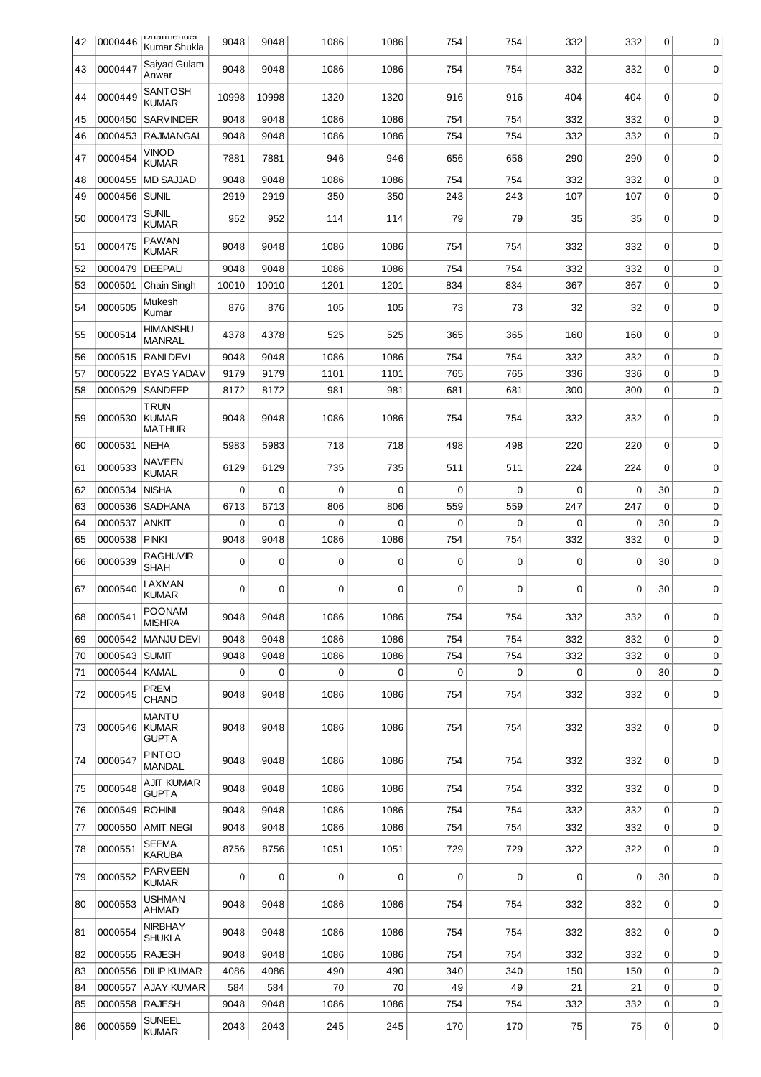| 42 | 0000446       | <b>DITAITTIEITUEI</b><br>Kumar Shukla        | 9048        | 9048  | 1086     | 1086        | 754         | 754      | 332      | 332         | 0        | 0           |
|----|---------------|----------------------------------------------|-------------|-------|----------|-------------|-------------|----------|----------|-------------|----------|-------------|
| 43 | 0000447       | Saiyad Gulam<br>Anwar                        | 9048        | 9048  | 1086     | 1086        | 754         | 754      | 332      | 332         | 0        | 0           |
| 44 | 0000449       | SANTOSH<br><b>KUMAR</b>                      | 10998       | 10998 | 1320     | 1320        | 916         | 916      | 404      | 404         | $\Omega$ | 0           |
| 45 | 0000450       | <b>SARVINDER</b>                             | 9048        | 9048  | 1086     | 1086        | 754         | 754      | 332      | 332         | 0        | 0           |
| 46 | 0000453       | <b>RAJMANGAL</b>                             | 9048        | 9048  | 1086     | 1086        | 754         | 754      | 332      | 332         | 0        | 0           |
| 47 | 0000454       | <b>VINOD</b><br><b>KUMAR</b>                 | 7881        | 7881  | 946      | 946         | 656         | 656      | 290      | 290         | 0        | 0           |
| 48 | 0000455       | <b>MD SAJJAD</b>                             | 9048        | 9048  | 1086     | 1086        | 754         | 754      | 332      | 332         | 0        | 0           |
| 49 | 0000456       | <b>SUNIL</b>                                 | 2919        | 2919  | 350      | 350         | 243         | 243      | 107      | 107         | 0        | 0           |
| 50 | 0000473       | <b>SUNIL</b><br><b>KUMAR</b>                 | 952         | 952   | 114      | 114         | 79          | 79       | 35       | 35          | 0        | $\mathbf 0$ |
| 51 | 0000475       | PAWAN<br><b>KUMAR</b>                        | 9048        | 9048  | 1086     | 1086        | 754         | 754      | 332      | 332         | 0        | 0           |
| 52 | 0000479       | DEEPALI                                      | 9048        | 9048  | 1086     | 1086        | 754         | 754      | 332      | 332         | 0        | 0           |
| 53 | 0000501       | Chain Singh                                  | 10010       | 10010 | 1201     | 1201        | 834         | 834      | 367      | 367         | 0        | 0           |
| 54 | 0000505       | Mukesh<br>Kumar                              | 876         | 876   | 105      | 105         | 73          | 73       | 32       | 32          | 0        | $\mathbf 0$ |
| 55 | 0000514       | <b>HIMANSHU</b><br><b>MANRAL</b>             | 4378        | 4378  | 525      | 525         | 365         | 365      | 160      | 160         | 0        | 0           |
| 56 | 0000515       | <b>RANIDEVI</b>                              | 9048        | 9048  | 1086     | 1086        | 754         | 754      | 332      | 332         | 0        | 0           |
| 57 | 0000522       | <b>BYAS YADAV</b>                            | 9179        | 9179  | 1101     | 1101        | 765         | 765      | 336      | 336         | 0        | $\mathbf 0$ |
| 58 | 0000529       | <b>SANDEEP</b>                               | 8172        | 8172  | 981      | 981         | 681         | 681      | 300      | 300         | 0        | 0           |
| 59 | 0000530       | <b>TRUN</b><br><b>KUMAR</b><br><b>MATHUR</b> | 9048        | 9048  | 1086     | 1086        | 754         | 754      | 332      | 332         | 0        | $\mathbf 0$ |
| 60 | 0000531       | <b>NEHA</b>                                  | 5983        | 5983  | 718      | 718         | 498         | 498      | 220      | 220         | 0        | 0           |
| 61 | 0000533       | NAVEEN<br><b>KUMAR</b>                       | 6129        | 6129  | 735      | 735         | 511         | 511      | 224      | 224         | 0        | 0           |
| 62 | 0000534       | <b>NISHA</b>                                 | $\mathbf 0$ | 0     | $\Omega$ | $\Omega$    | $\mathbf 0$ | $\Omega$ | $\Omega$ | $\Omega$    | 30       | 0           |
| 63 | 0000536       | <b>SADHANA</b>                               | 6713        | 6713  | 806      | 806         | 559         | 559      | 247      | 247         | 0        | 0           |
| 64 | 0000537       | <b>ANKIT</b>                                 | 0           | 0     | 0        | $\mathbf 0$ | 0           | 0        | $\Omega$ | 0           | 30       | $\mathbf 0$ |
| 65 | 0000538       | <b>PINKI</b>                                 | 9048        | 9048  | 1086     | 1086        | 754         | 754      | 332      | 332         | 0        | $\mathbf 0$ |
| 66 | 0000539       | RAGHUVIR<br><b>SHAH</b>                      | $\mathbf 0$ | 0     | 0        | 0           | 0           | 0        | 0        | $\mathbf 0$ | 30       | 0           |
| 67 | 0000540       | LAXMAN<br><b>KUMAR</b>                       | 0           | 0     | 0        | 0           | 0           | 0        | 0        | 0           | 30       | 0           |
| 68 | 0000541       | <b>POONAM</b><br><b>MISHRA</b>               | 9048        | 9048  | 1086     | 1086        | 754         | 754      | 332      | 332         | 0        | 0           |
| 69 |               | 0000542 MANJU DEVI                           | 9048        | 9048  | 1086     | 1086        | 754         | 754      | 332      | 332         | $\Omega$ | 0           |
| 70 | 0000543 SUMIT |                                              | 9048        | 9048  | 1086     | 1086        | 754         | 754      | 332      | 332         | $\Omega$ | $\mathbf 0$ |
| 71 | 0000544       | <b>KAMAL</b>                                 | $\mathbf 0$ | 0     | 0        | 0           | $\mathbf 0$ | 0        | 0        | 0           | 30       | $\mathbf 0$ |
| 72 | 0000545       | PREM<br>CHAND                                | 9048        | 9048  | 1086     | 1086        | 754         | 754      | 332      | 332         | 0        | 0           |
| 73 | 0000546       | <b>MANTU</b><br><b>KUMAR</b><br><b>GUPTA</b> | 9048        | 9048  | 1086     | 1086        | 754         | 754      | 332      | 332         | 0        | 0           |
| 74 | 0000547       | <b>PINTOO</b><br><b>MANDAL</b>               | 9048        | 9048  | 1086     | 1086        | 754         | 754      | 332      | 332         | $\Omega$ | 0           |
| 75 | 0000548       | AJIT KUMAR<br><b>GUPTA</b>                   | 9048        | 9048  | 1086     | 1086        | 754         | 754      | 332      | 332         | 0        | 0           |
| 76 | 0000549       | ROHINI                                       | 9048        | 9048  | 1086     | 1086        | 754         | 754      | 332      | 332         | 0        | 0           |
| 77 | 0000550       | <b>AMIT NEGI</b>                             | 9048        | 9048  | 1086     | 1086        | 754         | 754      | 332      | 332         | 0        | 0           |
| 78 | 0000551       | <b>SEEMA</b><br><b>KARUBA</b>                | 8756        | 8756  | 1051     | 1051        | 729         | 729      | 322      | 322         | 0        | 0           |
| 79 | 0000552       | <b>PARVEEN</b><br>KUMAR                      | 0           | 0     | 0        | 0           | 0           | 0        | 0        | 0           | 30       | 0           |
| 80 | 0000553       | <b>USHMAN</b><br>AHMAD                       | 9048        | 9048  | 1086     | 1086        | 754         | 754      | 332      | 332         | 0        | 0           |
| 81 | 0000554       | <b>NIRBHAY</b><br><b>SHUKLA</b>              | 9048        | 9048  | 1086     | 1086        | 754         | 754      | 332      | 332         | 0        | 0           |
| 82 | 0000555       | <b>RAJESH</b>                                | 9048        | 9048  | 1086     | 1086        | 754         | 754      | 332      | 332         | 0        | 0           |
| 83 | 0000556       | <b>DILIP KUMAR</b>                           | 4086        | 4086  | 490      | 490         | 340         | 340      | 150      | 150         | 0        | 0           |
| 84 | 0000557       | <b>AJAY KUMAR</b>                            | 584         | 584   | 70       | 70          | 49          | 49       | 21       | 21          | 0        | 0           |
| 85 | 0000558       | <b>RAJESH</b>                                | 9048        | 9048  | 1086     | 1086        | 754         | 754      | 332      | 332         | 0        | 0           |
| 86 | 0000559       | <b>SUNEEL</b><br><b>KUMAR</b>                | 2043        | 2043  | 245      | 245         | 170         | 170      | 75       | 75          | 0        | 0           |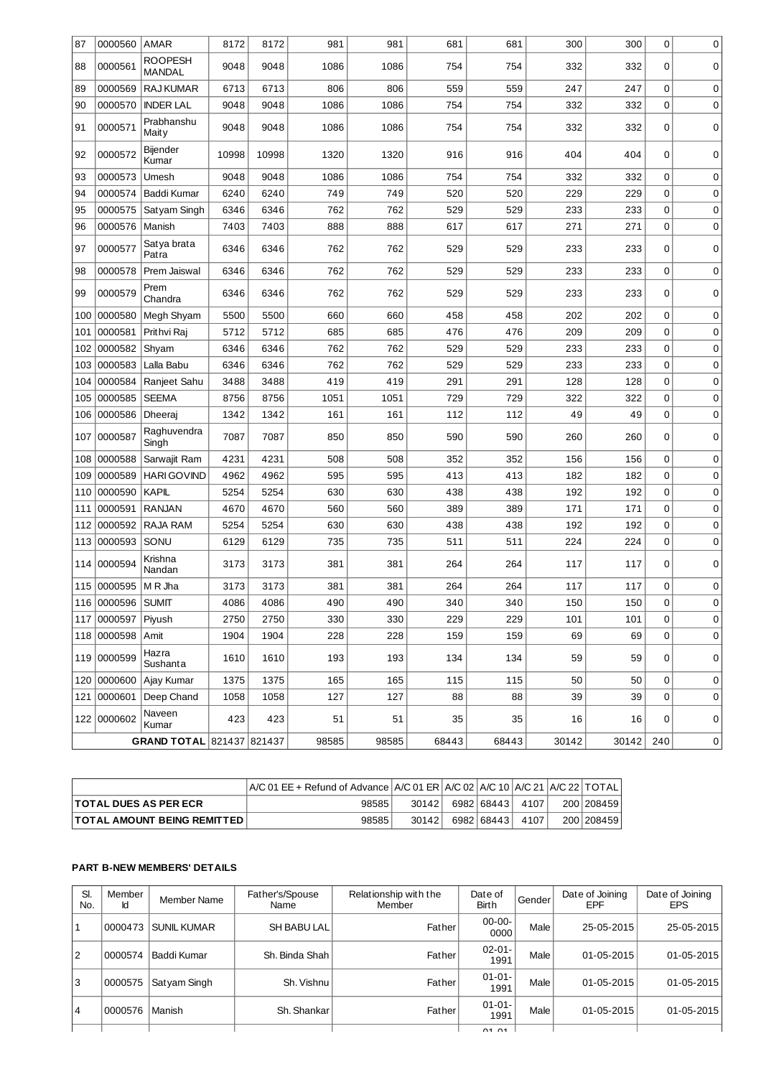| 87  | 0000560        | AMAR                      | 8172  | 8172  | 981   | 981   | 681   | 681   | 300   | 300   | 0   | $\mathbf 0$ |
|-----|----------------|---------------------------|-------|-------|-------|-------|-------|-------|-------|-------|-----|-------------|
| 88  | 0000561        | ROOPESH<br><b>MANDAL</b>  | 9048  | 9048  | 1086  | 1086  | 754   | 754   | 332   | 332   | 0   | 0           |
| 89  | 0000569        | <b>RAJ KUMAR</b>          | 6713  | 6713  | 806   | 806   | 559   | 559   | 247   | 247   | 0   | $\pmb{0}$   |
| 90  | 0000570        | <b>INDER LAL</b>          | 9048  | 9048  | 1086  | 1086  | 754   | 754   | 332   | 332   | 0   | $\mathbf 0$ |
| 91  | 0000571        | Prabhanshu<br>Maity       | 9048  | 9048  | 1086  | 1086  | 754   | 754   | 332   | 332   | 0   | 0           |
| 92  | 0000572        | Bijender<br>Kumar         | 10998 | 10998 | 1320  | 1320  | 916   | 916   | 404   | 404   | 0   | $\mathbf 0$ |
| 93  | 0000573        | Umesh                     | 9048  | 9048  | 1086  | 1086  | 754   | 754   | 332   | 332   | 0   | 0           |
| 94  | 0000574        | <b>Baddi Kumar</b>        | 6240  | 6240  | 749   | 749   | 520   | 520   | 229   | 229   | 0   | $\mathbf 0$ |
| 95  | 0000575        | Satyam Singh              | 6346  | 6346  | 762   | 762   | 529   | 529   | 233   | 233   | 0   | 0           |
| 96  | 0000576        | Manish                    | 7403  | 7403  | 888   | 888   | 617   | 617   | 271   | 271   | 0   | 0           |
| 97  | 0000577        | Satya brata<br>Patra      | 6346  | 6346  | 762   | 762   | 529   | 529   | 233   | 233   | 0   | $\mathbf 0$ |
| 98  | 0000578        | Prem Jaiswal              | 6346  | 6346  | 762   | 762   | 529   | 529   | 233   | 233   | 0   | 0           |
| 99  | 0000579        | Prem<br>Chandra           | 6346  | 6346  | 762   | 762   | 529   | 529   | 233   | 233   | 0   | $\mathbf 0$ |
| 100 | 0000580        | Megh Shyam                | 5500  | 5500  | 660   | 660   | 458   | 458   | 202   | 202   | 0   | 0           |
| 101 | 0000581        | Prithvi Raj               | 5712  | 5712  | 685   | 685   | 476   | 476   | 209   | 209   | 0   | $\mathbf 0$ |
| 102 | 0000582        | Shyam                     | 6346  | 6346  | 762   | 762   | 529   | 529   | 233   | 233   | 0   | 0           |
| 103 | 0000583        | Lalla Babu                | 6346  | 6346  | 762   | 762   | 529   | 529   | 233   | 233   | 0   | 0           |
| 104 | 0000584        | Ranjeet Sahu              | 3488  | 3488  | 419   | 419   | 291   | 291   | 128   | 128   | 0   | $\mathbf 0$ |
| 105 | 0000585        | <b>SEEMA</b>              | 8756  | 8756  | 1051  | 1051  | 729   | 729   | 322   | 322   | 0   | 0           |
| 106 | 0000586        | <b>Dheerai</b>            | 1342  | 1342  | 161   | 161   | 112   | 112   | 49    | 49    | 0   | 0           |
| 107 | 0000587        | Raghuvendra<br>Singh      | 7087  | 7087  | 850   | 850   | 590   | 590   | 260   | 260   | 0   | 0           |
| 108 | 0000588        | Sarwajit Ram              | 4231  | 4231  | 508   | 508   | 352   | 352   | 156   | 156   | 0   | 0           |
| 109 | 0000589        | <b>HARI GOVIND</b>        | 4962  | 4962  | 595   | 595   | 413   | 413   | 182   | 182   | 0   | $\mathbf 0$ |
| 110 | 0000590        | <b>KAPIL</b>              | 5254  | 5254  | 630   | 630   | 438   | 438   | 192   | 192   | 0   | $\mathbf 0$ |
| 111 | 0000591        | <b>RANJAN</b>             | 4670  | 4670  | 560   | 560   | 389   | 389   | 171   | 171   | 0   | 0           |
| 112 | 0000592        | RAJA RAM                  | 5254  | 5254  | 630   | 630   | 438   | 438   | 192   | 192   | 0   | 0           |
| 113 | 0000593        | SONU                      | 6129  | 6129  | 735   | 735   | 511   | 511   | 224   | 224   | 0   | $\mathbf 0$ |
| 114 | 0000594        | Krishna<br>Nandan         | 3173  | 3173  | 381   | 381   | 264   | 264   | 117   | 117   | 0   | $\mathbf 0$ |
| 115 | 0000595        | M R Jha                   | 3173  | 3173  | 381   | 381   | 264   | 264   | 117   | 117   | 0   | 0           |
|     | 116 0000596    | <b>SUMIT</b>              | 4086  | 4086  | 490   | 490   | 340   | 340   | 150   | 150   | 0   | 0           |
| 117 | 0000597 Piyush |                           | 2750  | 2750  | 330   | 330   | 229   | 229   | 101   | 101   | 0   | 0           |
| 118 | 0000598        | Amit                      | 1904  | 1904  | 228   | 228   | 159   | 159   | 69    | 69    | 0   | 0           |
| 119 | 0000599        | Hazra<br>Sushanta         | 1610  | 1610  | 193   | 193   | 134   | 134   | 59    | 59    | 0   | 0           |
|     | 120 0000600    | Ajay Kumar                | 1375  | 1375  | 165   | 165   | 115   | 115   | 50    | 50    | 0   | 0           |
| 121 | 0000601        | Deep Chand                | 1058  | 1058  | 127   | 127   | 88    | 88    | 39    | 39    | 0   | 0           |
|     | 122 0000602    | Naveen<br>Kumar           | 423   | 423   | 51    | 51    | 35    | 35    | 16    | 16    | 0   | 0           |
|     |                | GRAND TOTAL 821437 821437 |       |       | 98585 | 98585 | 68443 | 68443 | 30142 | 30142 | 240 | 0           |

|                                       | $A/C$ 01 EE + Refund of Advance $A/C$ 01 ER $A/C$ 02 $A/C$ 10 $A/C$ 21 $A/C$ 22 TOTAL |       |            |      |            |
|---------------------------------------|---------------------------------------------------------------------------------------|-------|------------|------|------------|
| <b>ITOTAL DUES AS PER ECR</b>         | 98585                                                                                 | 30142 | 6982 68443 | 4107 | 200 208459 |
| <b>ITOTAL AMOUNT BEING REMITTED  </b> | 98585                                                                                 | 30142 | 6982 68443 | 4107 | 200 208459 |

## **PART B-NEW MEMBERS' DETAILS**

 $\overline{\phantom{a}}$ 

| SI.<br>No. | Member<br>Id | Member Name        | Father's/Spouse<br>Name | Relationship with the<br>Member | Date of<br><b>Birth</b> | Gender | Date of Joining<br>EPF | Date of Joining<br><b>EPS</b> |
|------------|--------------|--------------------|-------------------------|---------------------------------|-------------------------|--------|------------------------|-------------------------------|
| 1          | 0000473      | <b>SUNIL KUMAR</b> | SH BABU LAL             | Father                          | $00 - 00 -$<br>0000     | Male   | 25-05-2015             | 25-05-2015                    |
| 12         | 0000574      | Baddi Kumar        | Sh. Binda Shah I        | Father                          | $02 - 01 -$<br>1991     | Male   | 01-05-2015             | $01 - 05 - 2015$              |
| l3         | 0000575      | Satyam Singh       | Sh. Vishnu              | Father                          | $01 - 01 -$<br>1991     | Male   | 01-05-2015             | $01 - 05 - 2015$              |
| 14         | 0000576      | Manish             | Sh. Shankar             | Father                          | $01 - 01 -$<br>1991     | Male   | 01-05-2015             | 01-05-2015                    |
|            |              |                    |                         |                                 | 01.01                   |        |                        |                               |